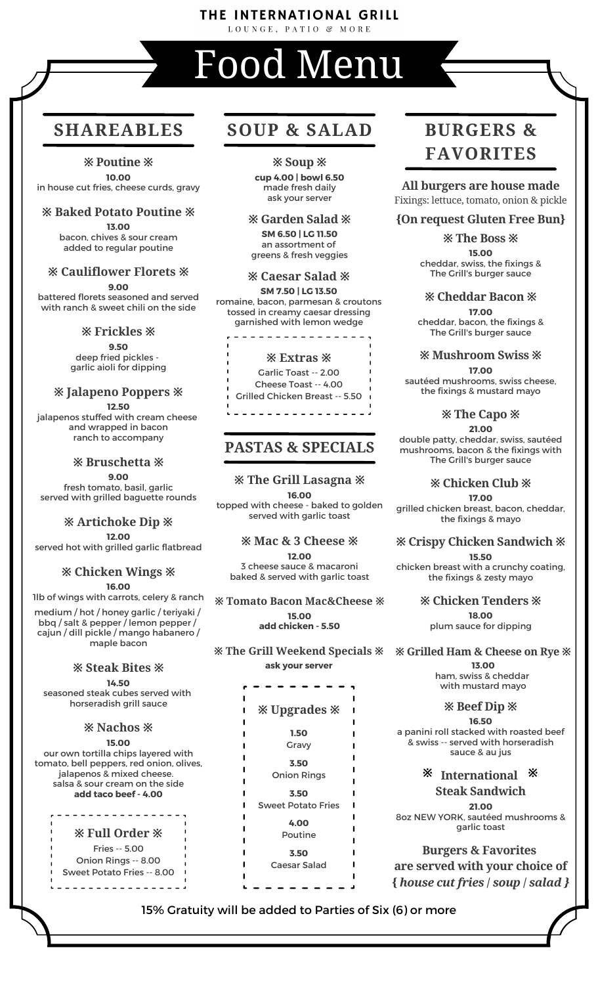# THE INTERNATIONAL GRILL

LOUNGE, PATIO & MORE

# Food Menu

**※ Poutine ※ 10.00**

in house cut fries, cheese curds, gravy

#### **※ Baked Potato Poutine ※**

**13.00** bacon, chives & sour cream added to regular poutine

#### **※ Cauliflower Florets ※**

**9.00** battered florets seasoned and served

with ranch & sweet chili on the side

#### **※ Frickles ※**

**9.50** deep fried pickles garlic aioli for dipping

### **※ Jalapeno Poppers ※**

**12.50** jalapenos stuffed with cream cheese and wrapped in bacon ranch to accompany

#### **※ Bruschetta ※ 9.00**

fresh tomato, basil, garlic served with grilled baguette rounds

#### **※ Artichoke Dip ※ 12.00**

served hot with grilled garlic flatbread

#### **※ Chicken Wings ※**

**16.00**

1lb of wings with carrots, celery & ranch

medium / hot / honey garlic / teriyaki / bbq / salt & pepper / lemon pepper / cajun / dill pickle / mango habanero / maple bacon

#### **※ Steak Bites ※**

**14.50** seasoned steak cubes served with horseradish grill sauce

# **※ Nachos ※**

**15.00** our own tortilla chips layered with tomato, bell peppers, red onion, olives, jalapenos & mixed cheese. salsa & sour cream on the side **add taco beef - 4.00**

# **※ Full Order ※**

<u> - - - - - - - - - -</u>

Fries -- 5.00 Onion Rings -- 8.00 Sweet Potato Fries -- 8.00 

# **SHAREABLES SOUP & SALAD BURGERS &**

**※ Soup ※**

**cup 4.00 | bowl 6.50** made fresh daily ask your server

#### **※ Garden Salad ※**

**SM 6.50 | LG 11.50** an assortment of greens & fresh veggies

#### **※ Caesar Salad ※**

**SM 7.50 | LG 13.50** romaine, bacon, parmesan & croutons tossed in creamy caesar dressing garnished with lemon wedge



# **PASTAS & SPECIALS**

#### **※ The Grill Lasagna ※**

**16.00** topped with cheese - baked to golden served with garlic toast

#### **※ Mac & 3 Cheese ※**

**12.00** 3 cheese sauce & macaroni baked & served with garlic toast

**※ Tomato Bacon Mac&Cheese ※ 15.00 add chicken - 5.50**

**※ The Grill Weekend Specials ※ ask your server**

# **※ Upgrades ※**

- **1.50**
- Gravy

**3.50** Onion Rings

**3.50** Sweet Potato Fries

> **4.00** Poutine

**3.50** Caesar Salad

# **FAVORITES**

**All burgers are house made** Fixings: lettuce, tomato, onion & pickle

#### **{On request Gluten Free Bun}**

**※ The Boss ※ 15.00** cheddar, swiss, the fixings & The Grill's burger sauce

#### **※ Cheddar Bacon ※**

**17.00** cheddar, bacon, the fixings & The Grill's burger sauce

#### **※ Mushroom Swiss ※**

**17.00** sautéed mushrooms, swiss cheese, the fixings & mustard mayo

#### **※ The Capo ※**

**21.00** double patty, cheddar, swiss, sautéed mushrooms, bacon & the fixings with The Grill's burger sauce

#### **※ Chicken Club ※**

**17.00**

grilled chicken breast, bacon, cheddar, the fixings & mayo

#### **※ Crispy Chicken Sandwich ※**

**15.50** chicken breast with a crunchy coating, the fixings & zesty mayo

> **※ Chicken Tenders ※ 18.00** plum sauce for dipping

**※ Grilled Ham & Cheese on Rye ※**

**13.00** ham, swiss & cheddar with mustard mayo

#### **※ Beef Dip ※**

**16.50** a panini roll stacked with roasted beef & swiss -- served with horseradish sauce & au jus

#### **International ※ ※ Steak Sandwich**

**21.00** 8oz NEW YORK, sautéed mushrooms & garlic toast

**Burgers & Favorites are served with your choice of {** *house cut fries* **/** *soup* **/** *salad }*

15% Gratuity will be added to Parties of Six (6) or more